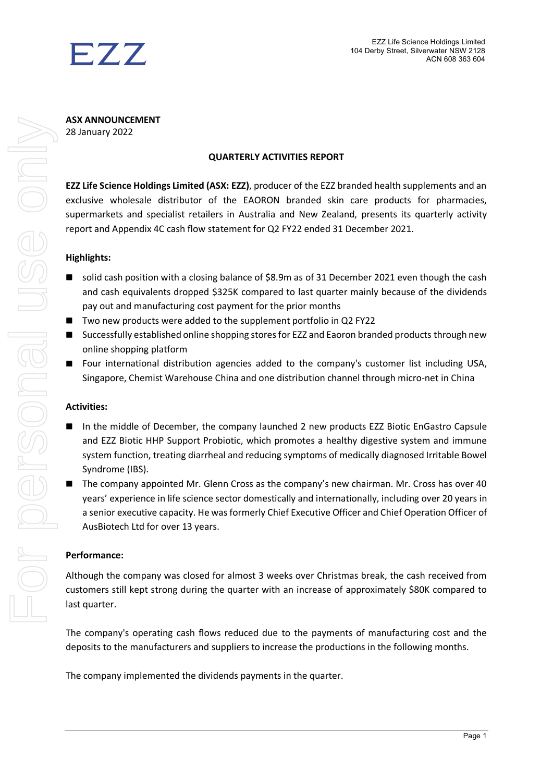

**ASX ANNOUNCEMENT** 28 January 2022

### **QUARTERLY ACTIVITIES REPORT**

**EZZ Life Science Holdings Limited (ASX: EZZ)**, producer of the EZZ branded health supplements and an exclusive wholesale distributor of the EAORON branded skin care products for pharmacies, supermarkets and specialist retailers in Australia and New Zealand, presents its quarterly activity report and Appendix 4C cash flow statement for Q2 FY22 ended 31 December 2021.

### **Highlights:**

- solid cash position with a closing balance of \$8.9m as of 31 December 2021 even though the cash and cash equivalents dropped \$325K compared to last quarter mainly because of the dividends pay out and manufacturing cost payment for the prior months
- Two new products were added to the supplement portfolio in Q2 FY22
- Successfully established online shopping stores for EZZ and Eaoron branded products through new online shopping platform
- Four international distribution agencies added to the company's customer list including USA, Singapore, Chemist Warehouse China and one distribution channel through micro-net in China

### **Activities:**

- In the middle of December, the company launched 2 new products EZZ Biotic EnGastro Capsule and EZZ Biotic HHP Support Probiotic, which promotes a healthy digestive system and immune system function, treating diarrheal and reducing symptoms of medically diagnosed Irritable Bowel Syndrome (IBS).
- The company appointed Mr. Glenn Cross as the company's new chairman. Mr. Cross has over 40 years' experience in life science sector domestically and internationally, including over 20 years in a senior executive capacity. He was formerly Chief Executive Officer and Chief Operation Officer of AusBiotech Ltd for over 13 years.

### **Performance:**

Although the company was closed for almost 3 weeks over Christmas break, the cash received from customers still kept strong during the quarter with an increase of approximately \$80K compared to last quarter.

The company's operating cash flows reduced due to the payments of manufacturing cost and the deposits to the manufacturers and suppliers to increase the productions in the following months.

The company implemented the dividends payments in the quarter.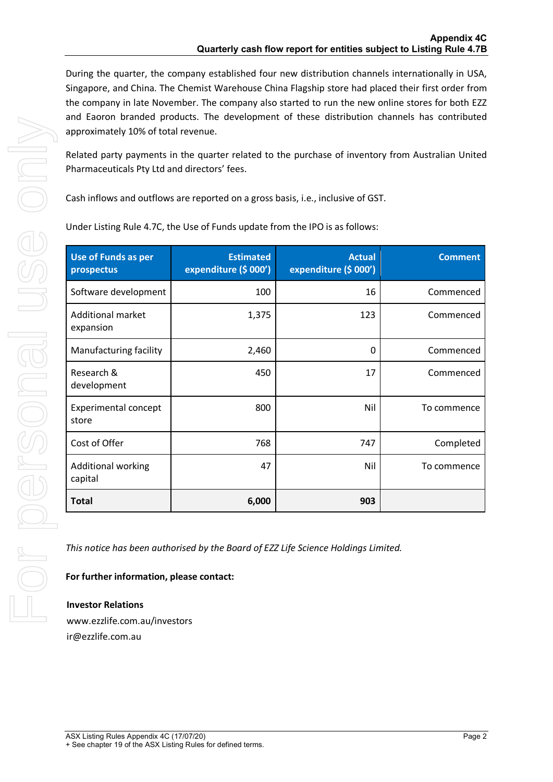During the quarter, the company established four new distribution channels internationally in USA, Singapore, and China. The Chemist Warehouse China Flagship store had placed their first order from the company in late November. The company also started to run the new online stores for both EZZ and Eaoron branded products. The development of these distribution channels has contributed approximately 10% of total revenue.

Related party payments in the quarter related to the purchase of inventory from Australian United Pharmaceuticals Pty Ltd and directors' fees.

Cash inflows and outflows are reported on a gross basis, i.e., inclusive of GST.

| <b>Use of Funds as per</b><br>prospectus | <b>Estimated</b><br>expenditure (\$ 000') | <b>Actual</b><br>expenditure (\$ 000') | <b>Comment</b> |
|------------------------------------------|-------------------------------------------|----------------------------------------|----------------|
| Software development                     | 100                                       | 16                                     | Commenced      |
| <b>Additional market</b><br>expansion    | 1,375                                     | 123                                    | Commenced      |
| Manufacturing facility                   | 2,460                                     | 0                                      | Commenced      |
| Research &<br>development                | 450                                       | 17                                     | Commenced      |
| <b>Experimental concept</b><br>store     | 800                                       | Nil                                    | To commence    |
| Cost of Offer                            | 768                                       | 747                                    | Completed      |
| <b>Additional working</b><br>capital     | 47                                        | Nil                                    | To commence    |
| <b>Total</b>                             | 6,000                                     | 903                                    |                |

Under Listing Rule 4.7C, the Use of Funds update from the IPO is as follows:

*This notice has been authorised by the Board of EZZ Life Science Holdings Limited.*

**For further information, please contact:**

**Investor Relations** www.ezzlife.com.au/investors ir@ezzlife.com.au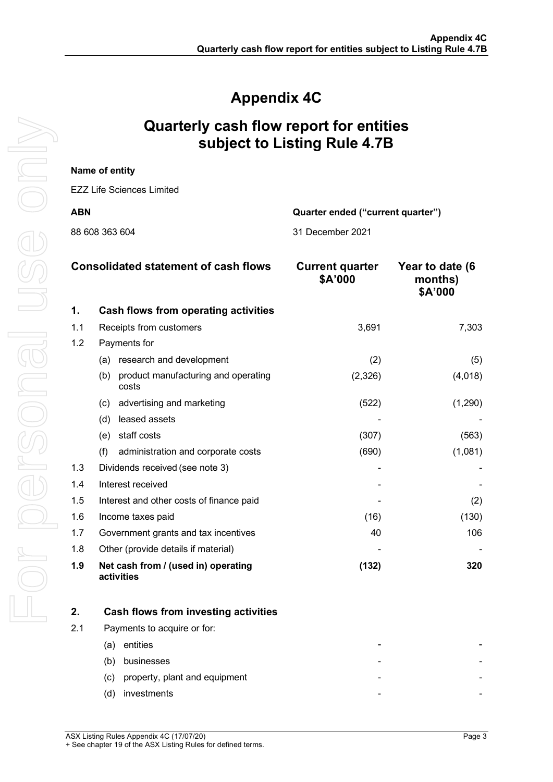# **Appendix 4C**

## **Quarterly cash flow report for entities subject to Listing Rule 4.7B**

|                                                 | Name of entity                                      |                                   |                                       |
|-------------------------------------------------|-----------------------------------------------------|-----------------------------------|---------------------------------------|
|                                                 | <b>EZZ Life Sciences Limited</b>                    |                                   |                                       |
| <b>ABN</b><br>Quarter ended ("current quarter") |                                                     |                                   |                                       |
|                                                 | 88 608 363 604                                      | 31 December 2021                  |                                       |
|                                                 |                                                     |                                   |                                       |
|                                                 | <b>Consolidated statement of cash flows</b>         | <b>Current quarter</b><br>\$A'000 | Year to date (6<br>months)<br>\$A'000 |
| 1.                                              | Cash flows from operating activities                |                                   |                                       |
| 1.1                                             | Receipts from customers                             | 3,691                             | 7,303                                 |
| 1.2                                             | Payments for                                        |                                   |                                       |
|                                                 | (a) research and development                        | (2)                               | (5)                                   |
|                                                 | product manufacturing and operating<br>(b)<br>costs | (2, 326)                          | (4,018)                               |
|                                                 | (c) advertising and marketing                       | (522)                             | (1, 290)                              |
|                                                 | (d) leased assets                                   |                                   |                                       |
|                                                 | (e) staff costs                                     | (307)                             | (563)                                 |
|                                                 | (f)<br>administration and corporate costs           | (690)                             | (1,081)                               |
| 1.3                                             | Dividends received (see note 3)                     |                                   |                                       |
| 1.4                                             | Interest received                                   |                                   |                                       |
| 1.5                                             | Interest and other costs of finance paid            |                                   | (2)                                   |
| 1.6                                             | Income taxes paid                                   | (16)                              | (130)                                 |
| 1.7                                             | Government grants and tax incentives                | 40                                | 106                                   |
| 1.8                                             | Other (provide details if material)                 |                                   |                                       |
| 1.9                                             | Net cash from / (used in) operating<br>activities   | (132)                             | 320                                   |
| n                                               | Coob floura from invooting activities               |                                   |                                       |

|     | Cash flows from investing activities |   |
|-----|--------------------------------------|---|
| 2.1 | Payments to acquire or for:          |   |
|     | entities<br>'a                       |   |
|     | businesses<br>(b)                    | - |
|     | property, plant and equipment<br>(C) | - |
|     | investments                          | - |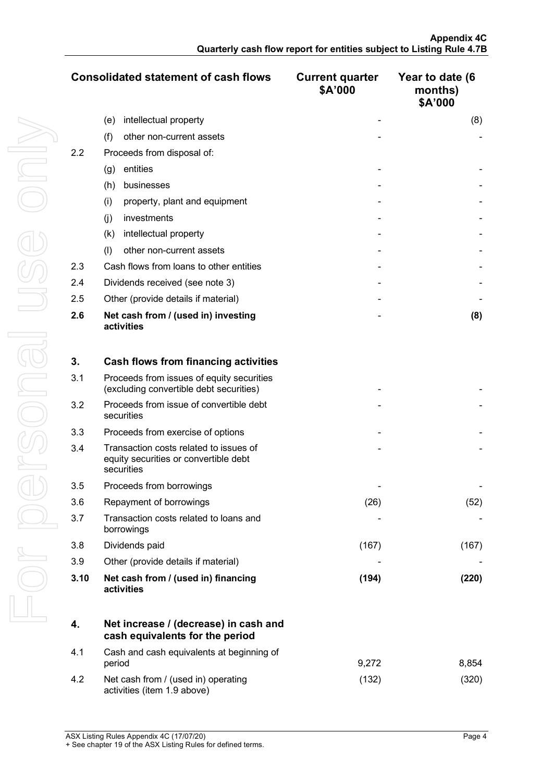|     | <b>Consolidated statement of cash flows</b>       | <b>Current quarter</b><br>\$A'000 | Year to date (6<br>months)<br>\$A'000 |
|-----|---------------------------------------------------|-----------------------------------|---------------------------------------|
|     | intellectual property<br>(e)                      |                                   | (8)                                   |
|     | (f)<br>other non-current assets                   |                                   |                                       |
| 2.2 | Proceeds from disposal of:                        |                                   |                                       |
|     | entities<br>(g)                                   |                                   |                                       |
|     | (h)<br>businesses                                 |                                   |                                       |
|     | (i)<br>property, plant and equipment              |                                   |                                       |
|     | investments<br>(i)                                |                                   |                                       |
|     | intellectual property<br>(k)                      |                                   |                                       |
|     | other non-current assets<br>(1)                   |                                   |                                       |
| 2.3 | Cash flows from loans to other entities           |                                   |                                       |
| 2.4 | Dividends received (see note 3)                   |                                   |                                       |
| 2.5 | Other (provide details if material)               |                                   |                                       |
| 2.6 | Net cash from / (used in) investing<br>activities |                                   | (8)                                   |

| 3.   | Cash flows from financing activities                                                          |       |       |
|------|-----------------------------------------------------------------------------------------------|-------|-------|
| 3.1  | Proceeds from issues of equity securities<br>(excluding convertible debt securities)          |       |       |
| 3.2  | Proceeds from issue of convertible debt<br>securities                                         |       |       |
| 3.3  | Proceeds from exercise of options                                                             |       |       |
| 3.4  | Transaction costs related to issues of<br>equity securities or convertible debt<br>securities |       |       |
| 3.5  | Proceeds from borrowings                                                                      |       |       |
| 3.6  | Repayment of borrowings                                                                       | (26)  | (52)  |
| 3.7  | Transaction costs related to loans and<br>borrowings                                          |       |       |
| 3.8  | Dividends paid                                                                                | (167) | (167) |
| 3.9  | Other (provide details if material)                                                           |       |       |
| 3.10 | Net cash from / (used in) financing<br>activities                                             | (194) | (220) |

| 4.  | Net increase / (decrease) in cash and<br>cash equivalents for the period |       |       |
|-----|--------------------------------------------------------------------------|-------|-------|
| 4.1 | Cash and cash equivalents at beginning of<br>period                      | 9.272 | 8.854 |
| 4.2 | Net cash from / (used in) operating<br>activities (item 1.9 above)       | (132` |       |

ASX Listing Rules Appendix 4C (17/07/20) Page 4 + See chapter 19 of the ASX Listing Rules for defined terms.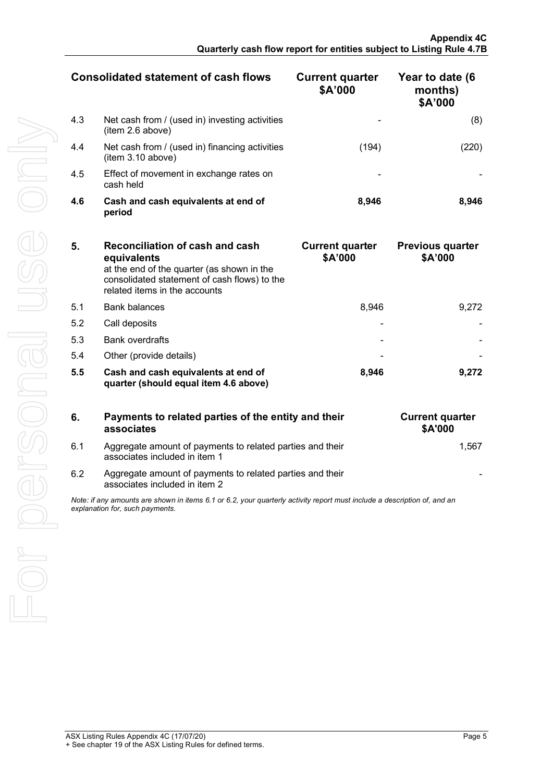| <b>Consolidated statement of cash flows</b> |                                                                     | <b>Current quarter</b><br>\$A'000 | Year to date (6<br>months)<br>\$A'000 |
|---------------------------------------------|---------------------------------------------------------------------|-----------------------------------|---------------------------------------|
| 4.3                                         | Net cash from / (used in) investing activities<br>(item 2.6 above)  |                                   |                                       |
| 4.4                                         | Net cash from / (used in) financing activities<br>(item 3.10 above) | (194)                             |                                       |
| 4.5                                         | Effect of movement in exchange rates on<br>cash held                |                                   |                                       |
| 4.6                                         | Cash and cash equivalents at end of<br>period                       | 8,946                             | 8.946                                 |

| 5.  | <b>Reconciliation of cash and cash</b><br>equivalents<br>at the end of the quarter (as shown in the<br>consolidated statement of cash flows) to the<br>related items in the accounts | <b>Current quarter</b><br>\$A'000 | <b>Previous quarter</b><br>\$A'000 |
|-----|--------------------------------------------------------------------------------------------------------------------------------------------------------------------------------------|-----------------------------------|------------------------------------|
| 5.1 | <b>Bank balances</b>                                                                                                                                                                 | 8.946                             | 9.272                              |
| 5.2 | Call deposits                                                                                                                                                                        |                                   |                                    |
| 5.3 | <b>Bank overdrafts</b>                                                                                                                                                               |                                   |                                    |
| 5.4 | Other (provide details)                                                                                                                                                              |                                   |                                    |
| 5.5 | Cash and cash equivalents at end of<br>quarter (should equal item 4.6 above)                                                                                                         | 8,946                             | 9.272                              |

| 6.  | Payments to related parties of the entity and their<br>associates                                                                                           | <b>Current quarter</b><br><b>\$A'000</b> |
|-----|-------------------------------------------------------------------------------------------------------------------------------------------------------------|------------------------------------------|
| 6.1 | Aggregate amount of payments to related parties and their<br>associates included in item 1                                                                  | 1.567                                    |
| 6.2 | Aggregate amount of payments to related parties and their<br>associates included in item 2                                                                  |                                          |
|     | Note: if any amounts are shown in items 6.1 or 6.2, your quarterly activity report must include a description of, and an<br>explanation for, such payments. |                                          |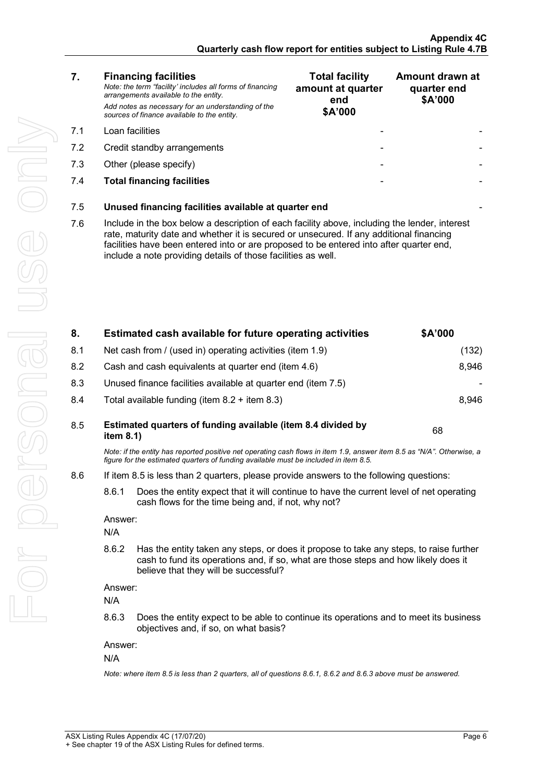Ţ

| 7.                                                                                                                                                                                                                                                                                                                                                          | <b>Financing facilities</b><br>Note: the term "facility' includes all forms of financing<br>arrangements available to the entity.<br>Add notes as necessary for an understanding of the<br>sources of finance available to the entity. | <b>Total facility</b><br>amount at quarter<br>end<br>\$A'000 | Amount drawn at<br>quarter end<br>\$A'000 |
|-------------------------------------------------------------------------------------------------------------------------------------------------------------------------------------------------------------------------------------------------------------------------------------------------------------------------------------------------------------|----------------------------------------------------------------------------------------------------------------------------------------------------------------------------------------------------------------------------------------|--------------------------------------------------------------|-------------------------------------------|
| 7.1                                                                                                                                                                                                                                                                                                                                                         | Loan facilities                                                                                                                                                                                                                        |                                                              |                                           |
| 7.2                                                                                                                                                                                                                                                                                                                                                         | Credit standby arrangements                                                                                                                                                                                                            |                                                              |                                           |
| 7.3                                                                                                                                                                                                                                                                                                                                                         | Other (please specify)                                                                                                                                                                                                                 | -                                                            |                                           |
| 7.4                                                                                                                                                                                                                                                                                                                                                         | <b>Total financing facilities</b>                                                                                                                                                                                                      |                                                              |                                           |
| 7.5                                                                                                                                                                                                                                                                                                                                                         | Unused financing facilities available at quarter end                                                                                                                                                                                   |                                                              |                                           |
| Include in the box below a description of each facility above, including the lender, interest<br>7.6<br>rate, maturity date and whether it is secured or unsecured. If any additional financing<br>facilities have been entered into or are proposed to be entered into after quarter end,<br>include a note providing details of those facilities as well. |                                                                                                                                                                                                                                        |                                                              |                                           |
|                                                                                                                                                                                                                                                                                                                                                             |                                                                                                                                                                                                                                        |                                                              |                                           |

| 8.  |                | Estimated cash available for future operating activities                                                                                                                                                               | \$A'000 |  |
|-----|----------------|------------------------------------------------------------------------------------------------------------------------------------------------------------------------------------------------------------------------|---------|--|
| 8.1 |                | Net cash from / (used in) operating activities (item 1.9)                                                                                                                                                              | (132)   |  |
| 8.2 |                | Cash and cash equivalents at quarter end (item 4.6)                                                                                                                                                                    | 8,946   |  |
| 8.3 |                | Unused finance facilities available at quarter end (item 7.5)                                                                                                                                                          |         |  |
| 8.4 |                | Total available funding (item $8.2 +$ item $8.3$ )                                                                                                                                                                     | 8,946   |  |
| 8.5 | item 8.1)      | Estimated quarters of funding available (item 8.4 divided by                                                                                                                                                           | 68      |  |
|     |                | Note: if the entity has reported positive net operating cash flows in item 1.9, answer item 8.5 as "N/A". Otherwise, a<br>figure for the estimated quarters of funding available must be included in item 8.5.         |         |  |
| 8.6 |                | If item 8.5 is less than 2 quarters, please provide answers to the following questions:                                                                                                                                |         |  |
|     | 8.6.1          | Does the entity expect that it will continue to have the current level of net operating<br>cash flows for the time being and, if not, why not?                                                                         |         |  |
|     | Answer:        |                                                                                                                                                                                                                        |         |  |
|     | N/A            |                                                                                                                                                                                                                        |         |  |
|     | 8.6.2          | Has the entity taken any steps, or does it propose to take any steps, to raise further<br>cash to fund its operations and, if so, what are those steps and how likely does it<br>believe that they will be successful? |         |  |
|     | Answer:        |                                                                                                                                                                                                                        |         |  |
|     | N/A            |                                                                                                                                                                                                                        |         |  |
|     | 8.6.3          | Does the entity expect to be able to continue its operations and to meet its business<br>objectives and, if so, on what basis?                                                                                         |         |  |
|     | Answer:<br>N/A |                                                                                                                                                                                                                        |         |  |
|     |                | Note: where item 8.5 is less than 2 quarters, all of questions 8.6.1, 8.6.2 and 8.6.3 above must be answered.                                                                                                          |         |  |
|     |                |                                                                                                                                                                                                                        |         |  |